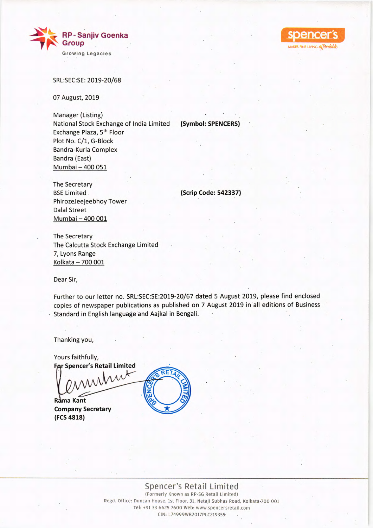



07 August, 2019

Manager (Listing) National Stock Exchange of India Limited Exchange Plaza, 5<sup>th</sup> Floor Plot No. C/1, G-Block Bandra-Kurla Complex Bandra (East) Mumbai — 400 051

**(Symbol: SPENCERS)** 

MAKES FINE LIVING affordab

The Secretary BSE Limited PhirozeJeejeebhoy Tower Dalai Street Mumbai — 400 001

**(Scrip Code: 542337)** 

The Secretary The Calcutta Stock Exchange Limited 7, Lyons Range Kolkata — 700 001

Dear Sir,

Further to our letter no. SRL:SEC:SE:2019-20/67 dated 5 August 2019, please find enclosed copies of newspaper publications as published on 7 August 2019 in all editions of Business • Standard in English language and Aajkal in Bengali.

Thanking you,

**FAr Spencer's Retail Limited** minut Yours faithfully,

**Rama Kant Company Secretary (FCS 4818)** 



Spencer's Retail Limited (Formerly Known as RP-SG Retail Limited) Regd. Office: Duncan House, 1st Floor, 31, Netaji Subhas Road, Kolkata-700 001 **Tel:** +91 33 6625 7600 Web: www.spencersretail.com CIN: L74999WB2017PLC219355-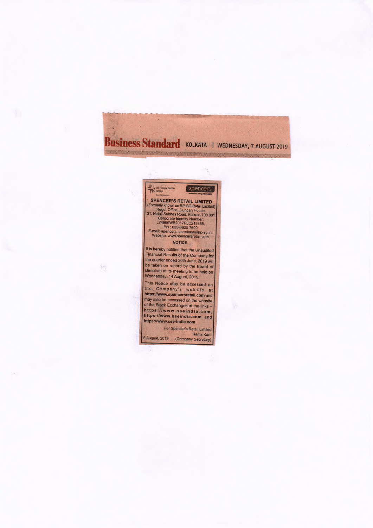## **Business Standard** KOLKATA I WEDNESDAY, 7 AUGUST 2019